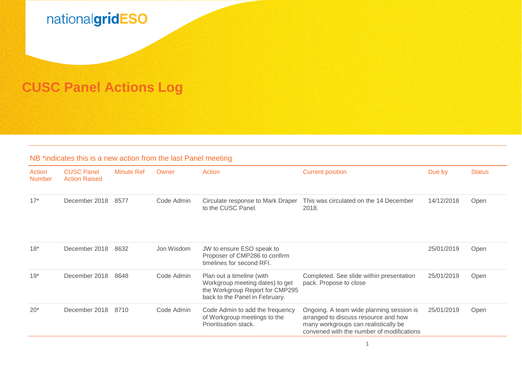

## **CUSC Panel Actions Log**

## NB \*indicates this is a new action from the last Panel meeting

| Action<br><b>Number</b> | <b>CUSC Panel</b><br><b>Action Raised</b> | <b>Minute Ref</b> | Owner      | Action                                                                                                                            | <b>Current position</b>                                                                                                                                               | Due by     | <b>Status</b> |
|-------------------------|-------------------------------------------|-------------------|------------|-----------------------------------------------------------------------------------------------------------------------------------|-----------------------------------------------------------------------------------------------------------------------------------------------------------------------|------------|---------------|
| $17*$                   | December 2018                             | 8577              | Code Admin | Circulate response to Mark Draper<br>to the CUSC Panel.                                                                           | This was circulated on the 14 December<br>2018.                                                                                                                       | 14/12/2018 | Open          |
| $18*$                   | December 2018                             | 8632              | Jon Wisdom | JW to ensure ESO speak to<br>Proposer of CMP286 to confirm<br>timelines for second RFI.                                           |                                                                                                                                                                       | 25/01/2019 | Open          |
| $19*$                   | December 2018                             | 8648              | Code Admin | Plan out a timeline (with<br>Workgroup meeting dates) to get<br>the Workgroup Report for CMP295<br>back to the Panel in February. | Completed. See slide within presentation<br>pack. Propose to close                                                                                                    | 25/01/2019 | Open          |
| $20*$                   | December 2018                             | 8710              | Code Admin | Code Admin to add the frequency<br>of Workgroup meetings to the<br>Prioritisation stack.                                          | Ongoing. A team wide planning session is<br>arranged to discuss resource and how<br>many workgroups can realistically be<br>convened with the number of modifications | 25/01/2019 | Open          |